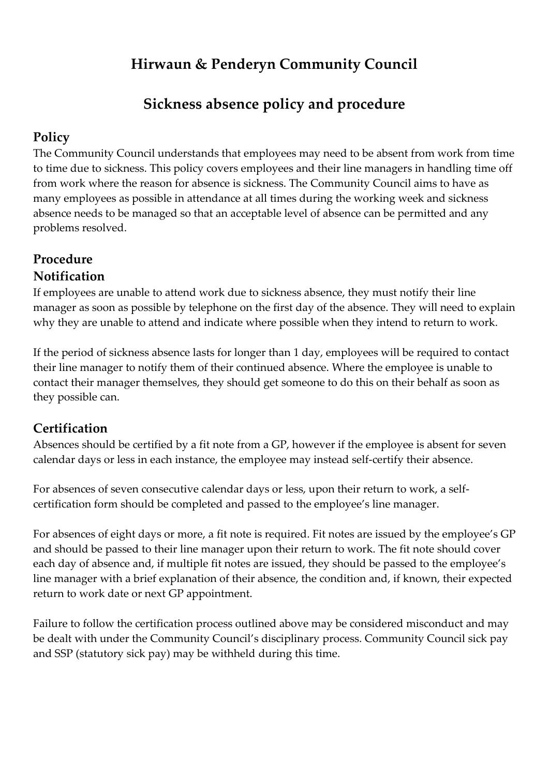# **Hirwaun & Penderyn Community Council**

# **Sickness absence policy and procedure**

# **Policy**

The Community Council understands that employees may need to be absent from work from time to time due to sickness. This policy covers employees and their line managers in handling time off from work where the reason for absence is sickness. The Community Council aims to have as many employees as possible in attendance at all times during the working week and sickness absence needs to be managed so that an acceptable level of absence can be permitted and any problems resolved.

# **Procedure Notification**

If employees are unable to attend work due to sickness absence, they must notify their line manager as soon as possible by telephone on the first day of the absence. They will need to explain why they are unable to attend and indicate where possible when they intend to return to work.

If the period of sickness absence lasts for longer than 1 day, employees will be required to contact their line manager to notify them of their continued absence. Where the employee is unable to contact their manager themselves, they should get someone to do this on their behalf as soon as they possible can.

# **Certification**

Absences should be certified by a fit note from a GP, however if the employee is absent for seven calendar days or less in each instance, the employee may instead self-certify their absence.

For absences of seven consecutive calendar days or less, upon their return to work, a selfcertification form should be completed and passed to the employee's line manager.

For absences of eight days or more, a fit note is required. Fit notes are issued by the employee's GP and should be passed to their line manager upon their return to work. The fit note should cover each day of absence and, if multiple fit notes are issued, they should be passed to the employee's line manager with a brief explanation of their absence, the condition and, if known, their expected return to work date or next GP appointment.

Failure to follow the certification process outlined above may be considered misconduct and may be dealt with under the Community Council's disciplinary process. Community Council sick pay and SSP (statutory sick pay) may be withheld during this time.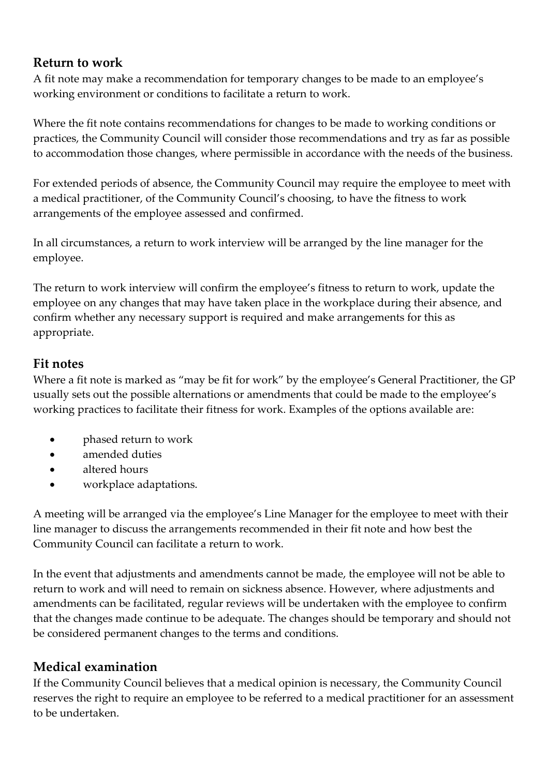### **Return to work**

A fit note may make a recommendation for temporary changes to be made to an employee's working environment or conditions to facilitate a return to work.

Where the fit note contains recommendations for changes to be made to working conditions or practices, the Community Council will consider those recommendations and try as far as possible to accommodation those changes, where permissible in accordance with the needs of the business.

For extended periods of absence, the Community Council may require the employee to meet with a medical practitioner, of the Community Council's choosing, to have the fitness to work arrangements of the employee assessed and confirmed.

In all circumstances, a return to work interview will be arranged by the line manager for the employee.

The return to work interview will confirm the employee's fitness to return to work, update the employee on any changes that may have taken place in the workplace during their absence, and confirm whether any necessary support is required and make arrangements for this as appropriate.

### **Fit notes**

Where a fit note is marked as "may be fit for work" by the employee's General Practitioner, the GP usually sets out the possible alternations or amendments that could be made to the employee's working practices to facilitate their fitness for work. Examples of the options available are:

- phased return to work
- amended duties
- altered hours
- workplace adaptations.

A meeting will be arranged via the employee's Line Manager for the employee to meet with their line manager to discuss the arrangements recommended in their fit note and how best the Community Council can facilitate a return to work.

In the event that adjustments and amendments cannot be made, the employee will not be able to return to work and will need to remain on sickness absence. However, where adjustments and amendments can be facilitated, regular reviews will be undertaken with the employee to confirm that the changes made continue to be adequate. The changes should be temporary and should not be considered permanent changes to the terms and conditions.

### **Medical examination**

If the Community Council believes that a medical opinion is necessary, the Community Council reserves the right to require an employee to be referred to a medical practitioner for an assessment to be undertaken.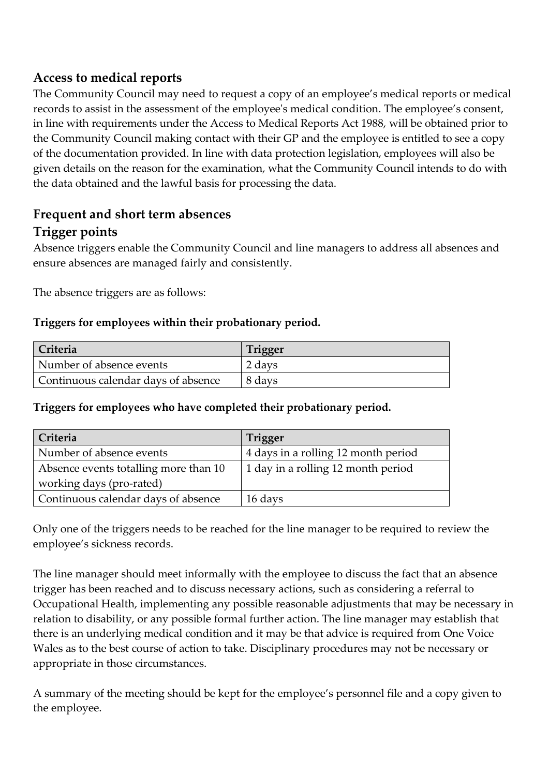### **Access to medical reports**

The Community Council may need to request a copy of an employee's medical reports or medical records to assist in the assessment of the employee's medical condition. The employee's consent, in line with requirements under the Access to Medical Reports Act 1988, will be obtained prior to the Community Council making contact with their GP and the employee is entitled to see a copy of the documentation provided. In line with data protection legislation, employees will also be given details on the reason for the examination, what the Community Council intends to do with the data obtained and the lawful basis for processing the data.

# **Frequent and short term absences**

# **Trigger points**

Absence triggers enable the Community Council and line managers to address all absences and ensure absences are managed fairly and consistently.

The absence triggers are as follows:

#### **Triggers for employees within their probationary period.**

| Criteria                            | <b>Trigger</b> |
|-------------------------------------|----------------|
| Number of absence events            | 2 days         |
| Continuous calendar days of absence | 8 days         |

#### **Triggers for employees who have completed their probationary period.**

| Criteria                              | Trigger                             |
|---------------------------------------|-------------------------------------|
| Number of absence events              | 4 days in a rolling 12 month period |
| Absence events totalling more than 10 | 1 day in a rolling 12 month period  |
| working days (pro-rated)              |                                     |
| Continuous calendar days of absence   | 16 days                             |

Only one of the triggers needs to be reached for the line manager to be required to review the employee's sickness records.

The line manager should meet informally with the employee to discuss the fact that an absence trigger has been reached and to discuss necessary actions, such as considering a referral to Occupational Health, implementing any possible reasonable adjustments that may be necessary in relation to disability, or any possible formal further action. The line manager may establish that there is an underlying medical condition and it may be that advice is required from One Voice Wales as to the best course of action to take. Disciplinary procedures may not be necessary or appropriate in those circumstances.

A summary of the meeting should be kept for the employee's personnel file and a copy given to the employee.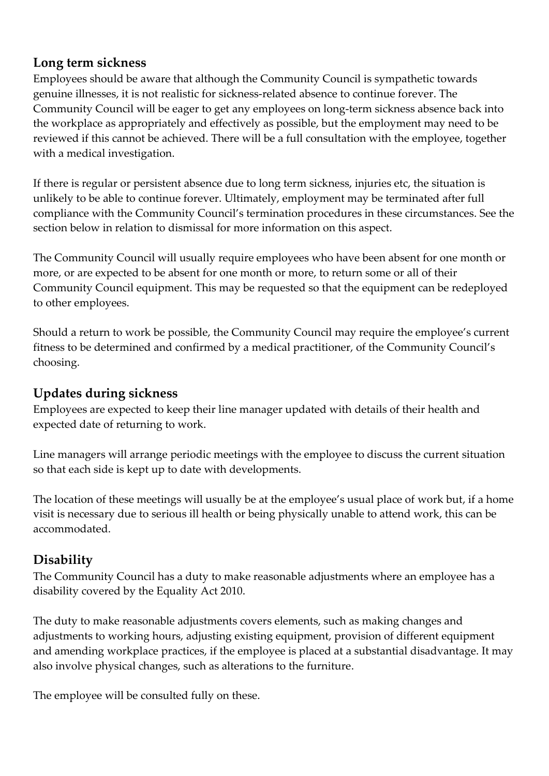### **Long term sickness**

Employees should be aware that although the Community Council is sympathetic towards genuine illnesses, it is not realistic for sickness-related absence to continue forever. The Community Council will be eager to get any employees on long-term sickness absence back into the workplace as appropriately and effectively as possible, but the employment may need to be reviewed if this cannot be achieved. There will be a full consultation with the employee, together with a medical investigation.

If there is regular or persistent absence due to long term sickness, injuries etc, the situation is unlikely to be able to continue forever. Ultimately, employment may be terminated after full compliance with the Community Council's termination procedures in these circumstances. See the section below in relation to dismissal for more information on this aspect.

The Community Council will usually require employees who have been absent for one month or more, or are expected to be absent for one month or more, to return some or all of their Community Council equipment. This may be requested so that the equipment can be redeployed to other employees.

Should a return to work be possible, the Community Council may require the employee's current fitness to be determined and confirmed by a medical practitioner, of the Community Council's choosing.

## **Updates during sickness**

Employees are expected to keep their line manager updated with details of their health and expected date of returning to work.

Line managers will arrange periodic meetings with the employee to discuss the current situation so that each side is kept up to date with developments.

The location of these meetings will usually be at the employee's usual place of work but, if a home visit is necessary due to serious ill health or being physically unable to attend work, this can be accommodated.

### **Disability**

The Community Council has a duty to make reasonable adjustments where an employee has a disability covered by the Equality Act 2010.

The duty to make reasonable adjustments covers elements, such as making changes and adjustments to working hours, adjusting existing equipment, provision of different equipment and amending workplace practices, if the employee is placed at a substantial disadvantage. It may also involve physical changes, such as alterations to the furniture.

The employee will be consulted fully on these.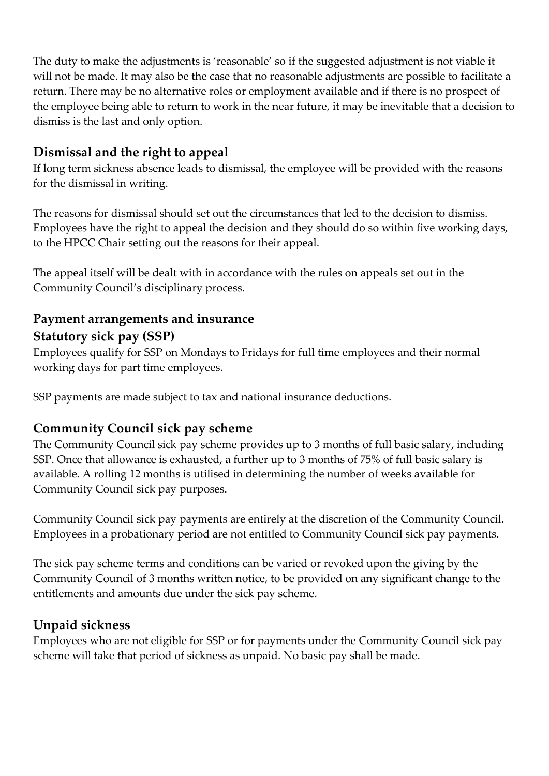The duty to make the adjustments is 'reasonable' so if the suggested adjustment is not viable it will not be made. It may also be the case that no reasonable adjustments are possible to facilitate a return. There may be no alternative roles or employment available and if there is no prospect of the employee being able to return to work in the near future, it may be inevitable that a decision to dismiss is the last and only option.

### **Dismissal and the right to appeal**

If long term sickness absence leads to dismissal, the employee will be provided with the reasons for the dismissal in writing.

The reasons for dismissal should set out the circumstances that led to the decision to dismiss. Employees have the right to appeal the decision and they should do so within five working days, to the HPCC Chair setting out the reasons for their appeal.

The appeal itself will be dealt with in accordance with the rules on appeals set out in the Community Council's disciplinary process.

# **Payment arrangements and insurance Statutory sick pay (SSP)**

Employees qualify for SSP on Mondays to Fridays for full time employees and their normal working days for part time employees.

SSP payments are made subject to tax and national insurance deductions.

### **Community Council sick pay scheme**

The Community Council sick pay scheme provides up to 3 months of full basic salary, including SSP. Once that allowance is exhausted, a further up to 3 months of 75% of full basic salary is available. A rolling 12 months is utilised in determining the number of weeks available for Community Council sick pay purposes.

Community Council sick pay payments are entirely at the discretion of the Community Council. Employees in a probationary period are not entitled to Community Council sick pay payments.

The sick pay scheme terms and conditions can be varied or revoked upon the giving by the Community Council of 3 months written notice, to be provided on any significant change to the entitlements and amounts due under the sick pay scheme.

### **Unpaid sickness**

Employees who are not eligible for SSP or for payments under the Community Council sick pay scheme will take that period of sickness as unpaid. No basic pay shall be made.